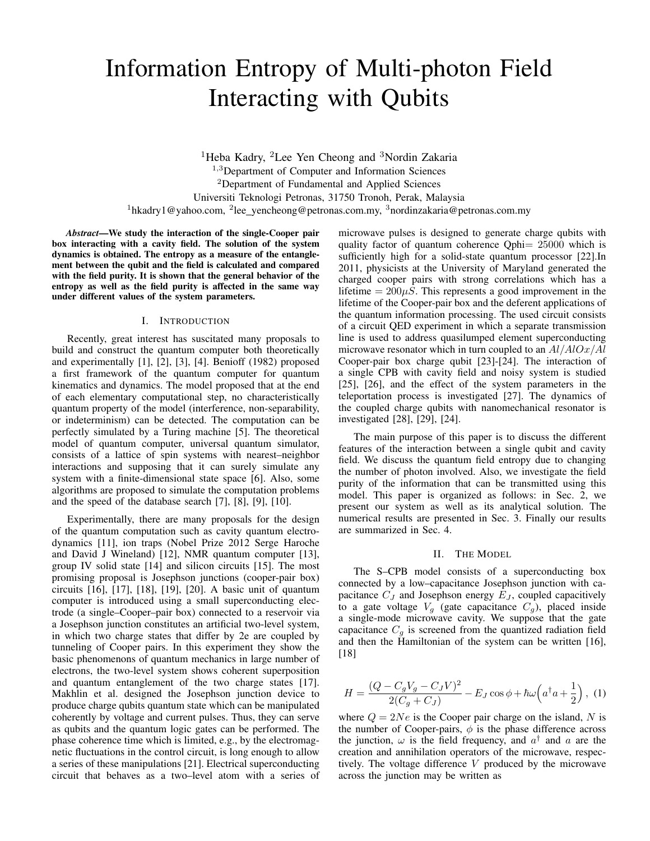# Information Entropy of Multi-photon Field Interacting with Qubits

<sup>1</sup>Heba Kadry, <sup>2</sup>Lee Yen Cheong and <sup>3</sup>Nordin Zakaria <sup>1,3</sup>Department of Computer and Information Sciences <sup>2</sup>Department of Fundamental and Applied Sciences Universiti Teknologi Petronas, 31750 Tronoh, Perak, Malaysia <sup>1</sup>hkadry1@yahoo.com, <sup>2</sup>lee\_yencheong@petronas.com.my, <sup>3</sup>nordinzakaria@petronas.com.my

*Abstract*—We study the interaction of the single-Cooper pair box interacting with a cavity field. The solution of the system dynamics is obtained. The entropy as a measure of the entanglement between the qubit and the field is calculated and compared with the field purity. It is shown that the general behavior of the entropy as well as the field purity is affected in the same way under different values of the system parameters.

### I. INTRODUCTION

Recently, great interest has suscitated many proposals to build and construct the quantum computer both theoretically and experimentally [1], [2], [3], [4]. Benioff (1982) proposed a first framework of the quantum computer for quantum kinematics and dynamics. The model proposed that at the end of each elementary computational step, no characteristically quantum property of the model (interference, non-separability, or indeterminism) can be detected. The computation can be perfectly simulated by a Turing machine [5]. The theoretical model of quantum computer, universal quantum simulator, consists of a lattice of spin systems with nearest–neighbor interactions and supposing that it can surely simulate any system with a finite-dimensional state space [6]. Also, some algorithms are proposed to simulate the computation problems and the speed of the database search [7], [8], [9], [10].

Experimentally, there are many proposals for the design of the quantum computation such as cavity quantum electrodynamics [11], ion traps (Nobel Prize 2012 Serge Haroche and David J Wineland) [12], NMR quantum computer [13], group IV solid state [14] and silicon circuits [15]. The most promising proposal is Josephson junctions (cooper-pair box) circuits [16], [17], [18], [19], [20]. A basic unit of quantum computer is introduced using a small superconducting electrode (a single–Cooper–pair box) connected to a reservoir via a Josephson junction constitutes an artificial two-level system, in which two charge states that differ by 2e are coupled by tunneling of Cooper pairs. In this experiment they show the basic phenomenons of quantum mechanics in large number of electrons, the two-level system shows coherent superposition and quantum entanglement of the two charge states [17]. Makhlin et al. designed the Josephson junction device to produce charge qubits quantum state which can be manipulated coherently by voltage and current pulses. Thus, they can serve as qubits and the quantum logic gates can be performed. The phase coherence time which is limited, e.g., by the electromagnetic fluctuations in the control circuit, is long enough to allow a series of these manipulations [21]. Electrical superconducting circuit that behaves as a two–level atom with a series of microwave pulses is designed to generate charge qubits with quality factor of quantum coherence Qphi= 25000 which is sufficiently high for a solid-state quantum processor [22].In 2011, physicists at the University of Maryland generated the charged cooper pairs with strong correlations which has a lifetime  $= 200 \mu S$ . This represents a good improvement in the lifetime of the Cooper-pair box and the deferent applications of the quantum information processing. The used circuit consists of a circuit QED experiment in which a separate transmission line is used to address quasilumped element superconducting microwave resonator which in turn coupled to an  $Al/AlOx/Al$ Cooper-pair box charge qubit [23]-[24]. The interaction of a single CPB with cavity field and noisy system is studied [25], [26], and the effect of the system parameters in the teleportation process is investigated [27]. The dynamics of the coupled charge qubits with nanomechanical resonator is investigated [28], [29], [24].

The main purpose of this paper is to discuss the different features of the interaction between a single qubit and cavity field. We discuss the quantum field entropy due to changing the number of photon involved. Also, we investigate the field purity of the information that can be transmitted using this model. This paper is organized as follows: in Sec. 2, we present our system as well as its analytical solution. The numerical results are presented in Sec. 3. Finally our results are summarized in Sec. 4.

#### II. THE MODEL

The S–CPB model consists of a superconducting box connected by a low–capacitance Josephson junction with capacitance  $C_J$  and Josephson energy  $E_J$ , coupled capacitively to a gate voltage  $V_g$  (gate capacitance  $C_g$ ), placed inside a single-mode microwave cavity. We suppose that the gate capacitance  $C_q$  is screened from the quantized radiation field and then the Hamiltonian of the system can be written [16], [18]

$$
H = \frac{(Q - C_g V_g - C_J V)^2}{2(C_g + C_J)} - E_J \cos \phi + \hbar \omega \left( a^\dagger a + \frac{1}{2} \right), (1)
$$

where  $Q = 2Ne$  is the Cooper pair charge on the island, N is the number of Cooper-pairs,  $\phi$  is the phase difference across the junction,  $\omega$  is the field frequency, and  $a^{\dagger}$  and a are the creation and annihilation operators of the microwave, respectively. The voltage difference V produced by the microwave across the junction may be written as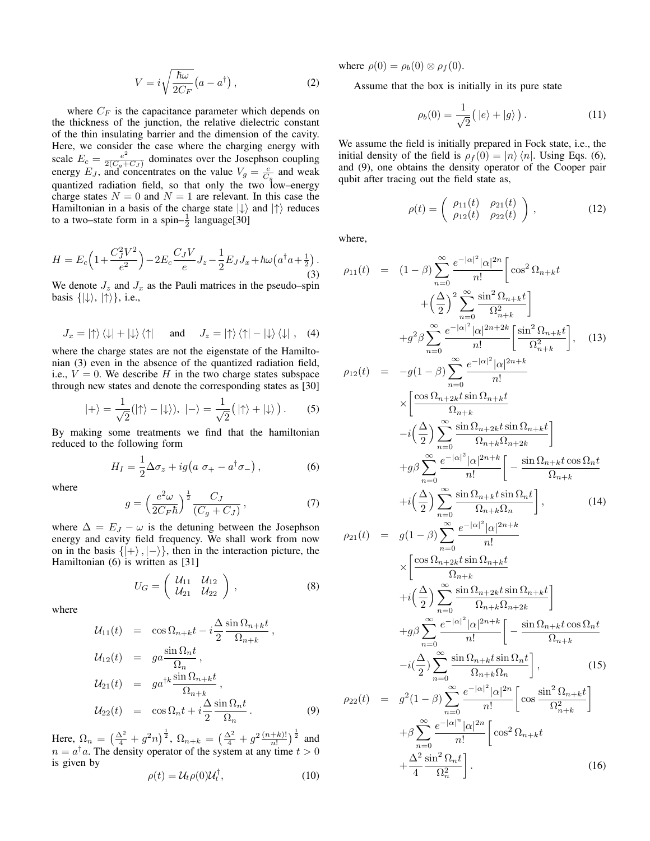$$
V = i\sqrt{\frac{\hbar\omega}{2C_F}}\left(a - a^{\dagger}\right),\tag{2}
$$

where  $C_F$  is the capacitance parameter which depends on the thickness of the junction, the relative dielectric constant of the thin insulating barrier and the dimension of the cavity. Here, we consider the case where the charging energy with scale  $E_c = \frac{e^2}{2(C - 1)}$  $\frac{e^2}{2(C_g+C_J)}$  dominates over the Josephson coupling energy  $E_J$ , and concentrates on the value  $V_g = \frac{e}{C_g}$  and weak quantized radiation field, so that only the two low–energy charge states  $N = 0$  and  $N = 1$  are relevant. In this case the Hamiltonian in a basis of the charge state  $|\downarrow\rangle$  and  $|\uparrow\rangle$  reduces to a two–state form in a spin– $\frac{1}{2}$  language[30]

$$
H = E_c \left( 1 + \frac{C_J^2 V^2}{e^2} \right) - 2E_c \frac{C_J V}{e} J_z - \frac{1}{2} E_J J_x + \hbar \omega \left( a^\dagger a + \frac{1}{2} \right). \tag{3}
$$

We denote  $J_z$  and  $J_x$  as the Pauli matrices in the pseudo–spin basis  $\{|\downarrow\rangle, |\uparrow\rangle\}$ , i.e.,

$$
J_x = |\uparrow\rangle \langle \downarrow| + |\downarrow\rangle \langle \uparrow| \quad \text{and} \quad J_z = |\uparrow\rangle \langle \uparrow| - |\downarrow\rangle \langle \downarrow| \,, \quad (4)
$$

where the charge states are not the eigenstate of the Hamiltonian (3) even in the absence of the quantized radiation field, i.e.,  $V = 0$ . We describe H in the two charge states subspace through new states and denote the corresponding states as [30]

$$
|+\rangle = \frac{1}{\sqrt{2}}(|\uparrow\rangle - |\downarrow\rangle), \ |-\rangle = \frac{1}{\sqrt{2}}(|\uparrow\rangle + |\downarrow\rangle).
$$
 (5)

By making some treatments we find that the hamiltonian reduced to the following form

$$
H_I = \frac{1}{2}\Delta\sigma_z + ig\left(a\ \sigma_+ - a^\dagger\sigma_-\right),\tag{6}
$$

where

$$
g = \left(\frac{e^2 \omega}{2C_F \hbar}\right)^{\frac{1}{2}} \frac{C_J}{(C_g + C_J)},\tag{7}
$$

where  $\Delta = E_J - \omega$  is the detuning between the Josephson energy and cavity field frequency. We shall work from now on in the basis  $\{|\rangle, |\rangle\}$ , then in the interaction picture, the Hamiltonian (6) is written as [31]

$$
U_G = \left(\begin{array}{cc} \mathcal{U}_{11} & \mathcal{U}_{12} \\ \mathcal{U}_{21} & \mathcal{U}_{22} \end{array}\right),\tag{8}
$$

where

$$
\mathcal{U}_{11}(t) = \cos \Omega_{n+k} t - i \frac{\Delta}{2} \frac{\sin \Omega_{n+k} t}{\Omega_{n+k}},
$$
  
\n
$$
\mathcal{U}_{12}(t) = g a^{\frac{\sin \Omega_{n} t}{\Omega_{n}},}
$$
  
\n
$$
\mathcal{U}_{21}(t) = g a^{\frac{\sin \Omega_{n+k} t}{\Omega_{n+k}}},
$$
  
\n
$$
\mathcal{U}_{22}(t) = \cos \Omega_{n} t + i \frac{\Delta}{2} \frac{\sin \Omega_{n} t}{\Omega_{n}}.
$$
\n(9)

Here,  $\Omega_n = \left(\frac{\Delta^2}{4} + g^2 n\right)^{\frac{1}{2}}$ ,  $\Omega_{n+k} = \left(\frac{\Delta^2}{4} + g^2 \frac{(n+k)!}{n!}\right)^{\frac{1}{2}}$  and  $n = a^{\dagger} a$ . The density operator of the system at any time  $t > 0$ is given by

$$
\rho(t) = \mathcal{U}_t \rho(0) \mathcal{U}_t^{\dagger}, \qquad (10)
$$

where  $\rho(0) = \rho_b(0) \otimes \rho_f(0)$ .

Assume that the box is initially in its pure state

$$
\rho_b(0) = \frac{1}{\sqrt{2}} (|e\rangle + |g\rangle).
$$
 (11)

We assume the field is initially prepared in Fock state, i.e., the initial density of the field is  $\rho_f(0) = |n\rangle \langle n|$ . Using Eqs. (6), and (9), one obtains the density operator of the Cooper pair qubit after tracing out the field state as,

$$
\rho(t) = \begin{pmatrix} \rho_{11}(t) & \rho_{21}(t) \\ \rho_{12}(t) & \rho_{22}(t) \end{pmatrix},
$$
\n(12)

where,

$$
\rho_{11}(t) = (1 - \beta) \sum_{n=0}^{\infty} \frac{e^{-|\alpha|^2} |\alpha|^{2n}}{n!} \left[ \cos^2 \Omega_{n+k} t + \left( \frac{\Delta}{2} \right)^2 \sum_{n=0}^{\infty} \frac{\sin^2 \Omega_{n+k} t}{\Omega_{n+k}^2} \right]
$$
  
\n
$$
+g^2 \beta \sum_{n=0}^{\infty} \frac{e^{-|\alpha|^2} |\alpha|^{2n+2k}}{n!} \left[ \frac{\sin^2 \Omega_{n+k} t}{\Omega_{n+k}^2} \right], \quad (13)
$$
  
\n
$$
\rho_{12}(t) = -g(1 - \beta) \sum_{n=0}^{\infty} \frac{e^{-|\alpha|^2} |\alpha|^{2n+k}}{n!} \times \left[ \frac{\cos \Omega_{n+2k} t \sin \Omega_{n+k} t}{\Omega_{n+k}} -i \left( \frac{\Delta}{2} \right) \sum_{n=0}^{\infty} \frac{\sin \Omega_{n+2k} t \sin \Omega_{n+k} t}{\Omega_{n+k}} \right]
$$
  
\n
$$
+g \beta \sum_{n=0}^{\infty} \frac{e^{-|\alpha|^2} |\alpha|^{2n+k}}{n!} \left[ -\frac{\sin \Omega_{n+k} t \cos \Omega_n t}{\Omega_{n+k}} +i \left( \frac{\Delta}{2} \right) \sum_{n=0}^{\infty} \frac{\sin \Omega_{n+k} t \sin \Omega_n t}{\Omega_{n+k}} \right], \quad (14)
$$
  
\n
$$
\rho_{21}(t) = g(1 - \beta) \sum_{n=0}^{\infty} \frac{e^{-|\alpha|^2} |\alpha|^{2n+k}}{n!} \times \left[ \frac{\cos \Omega_{n+2k} t \sin \Omega_{n+k} t}{\Omega_{n+k}} \right]
$$
  
\n
$$
+i \left( \frac{\Delta}{2} \right) \sum_{n=0}^{\infty} \frac{\sin \Omega_{n+2k} t \sin \Omega_{n+k} t}{\Omega_{n+k}} \right]
$$
  
\n
$$
+g \beta \sum_{n=0}^{\infty} \frac{e^{-|\alpha|^2} |\alpha|^{2n+k}}{n!} \left[ -\frac{\sin \Omega_{n+k} t \cos \Omega_n t}{\Omega_{n+k}} \right]
$$
  
\n
$$
\rho_{22}(t) =
$$

4

 $\Omega_n^2$ 

 $(16)$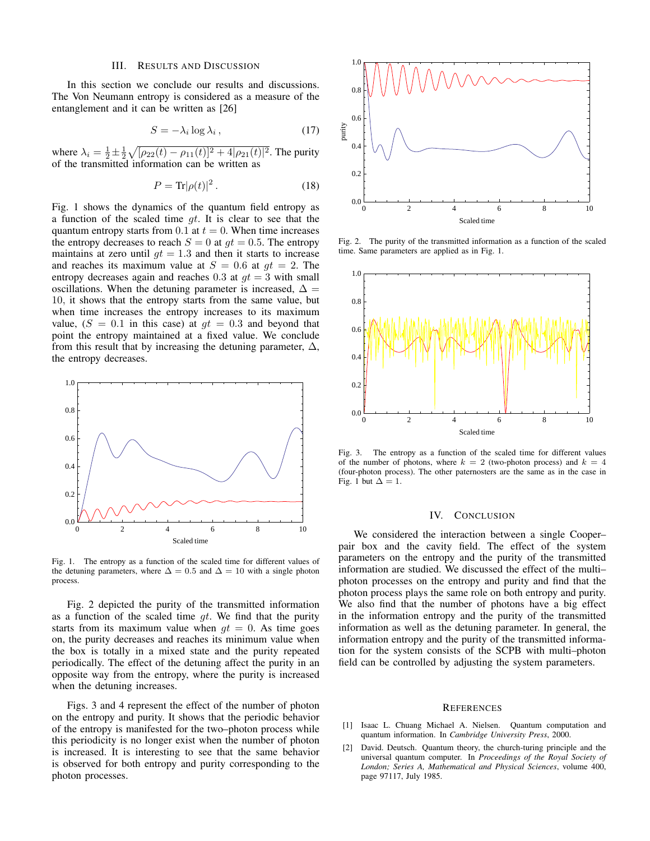### III. RESULTS AND DISCUSSION

In this section we conclude our results and discussions. The Von Neumann entropy is considered as a measure of the entanglement and it can be written as [26]

$$
S = -\lambda_i \log \lambda_i \,, \tag{17}
$$

where  $\lambda_i = \frac{1}{2} \pm \frac{1}{2} \sqrt{[\rho_{22}(t) - \rho_{11}(t)]^2 + 4[\rho_{21}(t)]^2}$ . The purity of the transmitted information can be written as

$$
P = \text{Tr}|\rho(t)|^2. \tag{18}
$$

Fig. 1 shows the dynamics of the quantum field entropy as a function of the scaled time  $gt$ . It is clear to see that the quantum entropy starts from 0.1 at  $t = 0$ . When time increases the entropy decreases to reach  $S = 0$  at  $qt = 0.5$ . The entropy maintains at zero until  $gt = 1.3$  and then it starts to increase and reaches its maximum value at  $S = 0.6$  at  $qt = 2$ . The entropy decreases again and reaches 0.3 at  $qt = 3$  with small oscillations. When the detuning parameter is increased,  $\Delta =$ 10, it shows that the entropy starts from the same value, but when time increases the entropy increases to its maximum value,  $(S = 0.1$  in this case) at  $gt = 0.3$  and beyond that point the entropy maintained at a fixed value. We conclude from this result that by increasing the detuning parameter,  $\Delta$ , the entropy decreases.



Fig. 1. The entropy as a function of the scaled time for different values of the detuning parameters, where  $\Delta = 0.5$  and  $\Delta = 10$  with a single photon process.

Fig. 2 depicted the purity of the transmitted information as a function of the scaled time  $qt$ . We find that the purity starts from its maximum value when  $qt = 0$ . As time goes on, the purity decreases and reaches its minimum value when the box is totally in a mixed state and the purity repeated periodically. The effect of the detuning affect the purity in an opposite way from the entropy, where the purity is increased when the detuning increases.

Figs. 3 and 4 represent the effect of the number of photon on the entropy and purity. It shows that the periodic behavior of the entropy is manifested for the two–photon process while this periodicity is no longer exist when the number of photon is increased. It is interesting to see that the same behavior is observed for both entropy and purity corresponding to the photon processes.



Fig. 2. The purity of the transmitted information as a function of the scaled time. Same parameters are applied as in Fig. 1.



Fig. 3. The entropy as a function of the scaled time for different values of the number of photons, where  $k = 2$  (two-photon process) and  $k = 4$ (four-photon process). The other paternosters are the same as in the case in Fig. 1 but  $\Delta = 1$ .

## IV. CONCLUSION

We considered the interaction between a single Cooper– pair box and the cavity field. The effect of the system parameters on the entropy and the purity of the transmitted information are studied. We discussed the effect of the multi– photon processes on the entropy and purity and find that the photon process plays the same role on both entropy and purity. We also find that the number of photons have a big effect in the information entropy and the purity of the transmitted information as well as the detuning parameter. In general, the information entropy and the purity of the transmitted information for the system consists of the SCPB with multi–photon field can be controlled by adjusting the system parameters.

#### **REFERENCES**

- [1] Isaac L. Chuang Michael A. Nielsen. Quantum computation and quantum information. In *Cambridge University Press*, 2000.
- [2] David. Deutsch. Quantum theory, the church-turing principle and the universal quantum computer. In *Proceedings of the Royal Society of London; Series A, Mathematical and Physical Sciences*, volume 400, page 97117, July 1985.